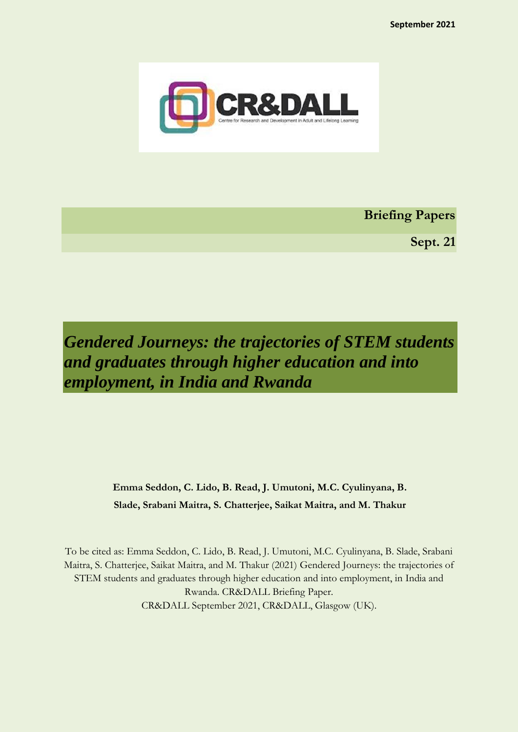

**Briefing Papers**

**Sept. 21**

*Gendered Journeys: the trajectories of STEM students and graduates through higher education and into employment, in India and Rwanda*

> **Emma Seddon, C. Lido, B. Read, J. Umutoni, M.C. Cyulinyana, B. Slade, Srabani Maitra, S. Chatterjee, Saikat Maitra, and M. Thakur**

To be cited as: Emma Seddon, C. Lido, B. Read, J. Umutoni, M.C. Cyulinyana, B. Slade, Srabani Maitra, S. Chatterjee, Saikat Maitra, and M. Thakur (2021) Gendered Journeys: the trajectories of STEM students and graduates through higher education and into employment, in India and Rwanda. CR&DALL Briefing Paper. CR&DALL September 2021, CR&DALL, Glasgow (UK).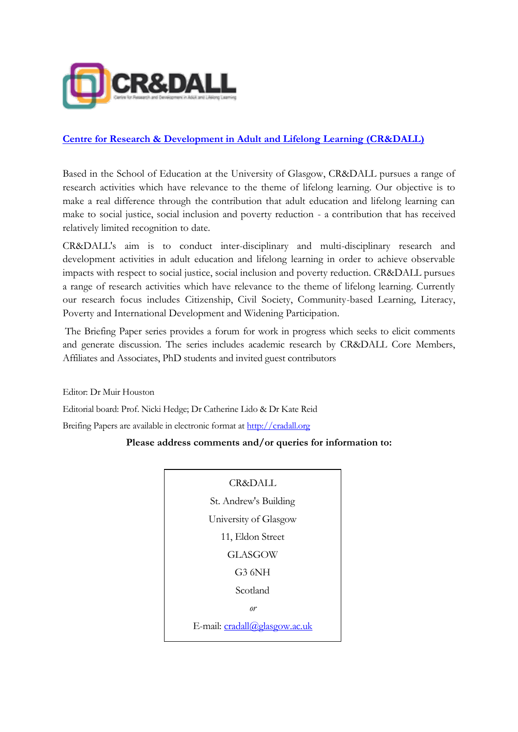

# **[Centre for Research & Development in Adult and Lifelong](http://cradall.org/) Learning (CR&DALL)**

Based in the School of Education at the University of Glasgow, CR&DALL pursues a range of research activities which have relevance to the theme of lifelong learning. Our objective is to make a real difference through the contribution that adult education and lifelong learning can make to social justice, social inclusion and poverty reduction - a contribution that has received relatively limited recognition to date.

CR&DALL's aim is to conduct inter-disciplinary and multi-disciplinary research and development activities in adult education and lifelong learning in order to achieve observable impacts with respect to social justice, social inclusion and poverty reduction. CR&DALL pursues a range of research activities which have relevance to the theme of lifelong learning. Currently our research focus includes Citizenship, Civil Society, Community-based Learning, Literacy, Poverty and International Development and Widening Participation.

The Briefing Paper series provides a forum for work in progress which seeks to elicit comments and generate discussion. The series includes academic research by CR&DALL Core Members, Affiliates and Associates, PhD students and invited guest contributors

Editor: Dr Muir Houston Editorial board: Prof. Nicki Hedge; Dr Catherine Lido & Dr Kate Reid Breifing Papers are available in electronic format at [http://cradall.org](http://cradall.org/)

# **Please address comments and/or queries for information to:**

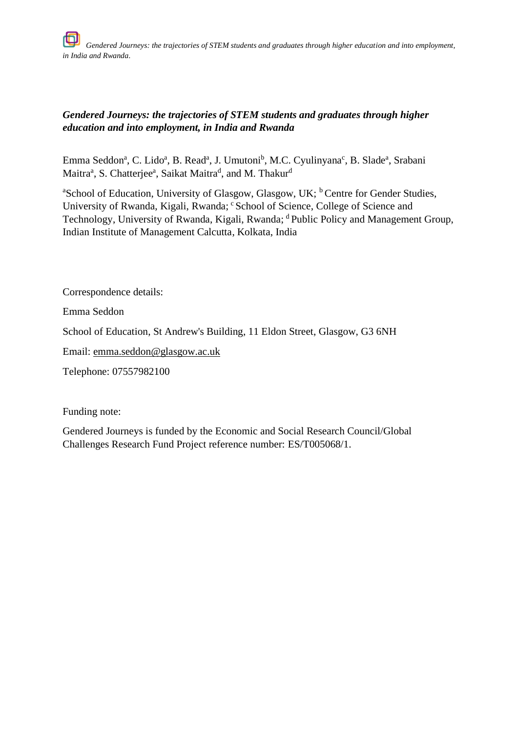# *Gendered Journeys: the trajectories of STEM students and graduates through higher education and into employment, in India and Rwanda*

Emma Seddon<sup>a</sup>, C. Lido<sup>a</sup>, B. Read<sup>a</sup>, J. Umutoni<sup>b</sup>, M.C. Cyulinyana<sup>c</sup>, B. Slade<sup>a</sup>, Srabani Maitra<sup>a</sup>, S. Chatterjee<sup>a</sup>, Saikat Maitra<sup>d</sup>, and M. Thakur<sup>d</sup>

<sup>a</sup>School of Education, University of Glasgow, Glasgow, UK; <sup>b</sup> Centre for Gender Studies, University of Rwanda, Kigali, Rwanda; 'School of Science, College of Science and Technology, University of Rwanda, Kigali, Rwanda; <sup>d</sup> Public Policy and Management Group, Indian Institute of Management Calcutta, Kolkata, India

Correspondence details:

Emma Seddon

School of Education, St Andrew's Building, 11 Eldon Street, Glasgow, G3 6NH

Email: [emma.seddon@glasgow.ac.uk](mailto:emma.seddon@glasgow.ac.uk)

Telephone: 07557982100

Funding note:

Gendered Journeys is funded by the Economic and Social Research Council/Global Challenges Research Fund Project reference number: ES/T005068/1.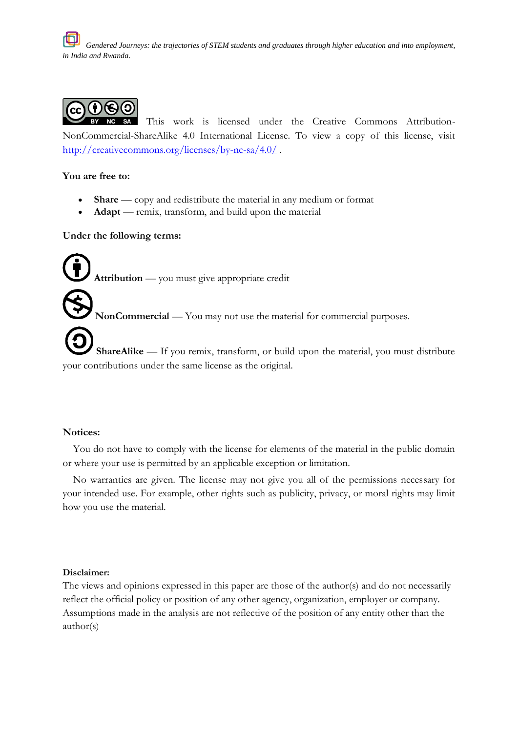

This work is licensed under the Creative Commons Attribution-NonCommercial-ShareAlike 4.0 International License. To view a copy of this license, visit <http://creativecommons.org/licenses/by-nc-sa/4.0/> .

#### **You are free to:**

- **Share** copy and redistribute the material in any medium or format
- **Adapt** remix, transform, and build upon the material

#### **Under the following terms:**

**Attribution** — you must give appropriate credit

**NonCommercial** — You may not use the material for commercial purposes.

**ShareAlike** — If you remix, transform, or build upon the material, you must distribute your contributions under the same license as the original.

#### **Notices:**

 You do not have to comply with the license for elements of the material in the public domain or where your use is permitted by an applicable exception or limitation.

 No warranties are given. The license may not give you all of the permissions necessary for your intended use. For example, other rights such as publicity, privacy, or moral rights may limit how you use the material.

#### **Disclaimer:**

The views and opinions expressed in this paper are those of the author(s) and do not necessarily reflect the official policy or position of any other agency, organization, employer or company. Assumptions made in the analysis are not reflective of the position of any entity other than the author(s)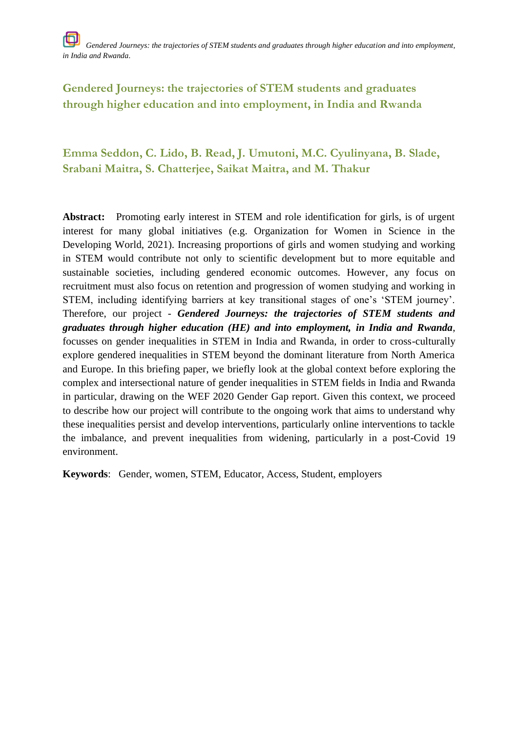# **Emma Seddon, C. Lido, B. Read, J. Umutoni, M.C. Cyulinyana, B. Slade, Srabani Maitra, S. Chatterjee, Saikat Maitra, and M. Thakur**

**Abstract:** Promoting early interest in STEM and role identification for girls, is of urgent interest for many global initiatives (e.g. Organization for Women in Science in the Developing World, 2021). Increasing proportions of girls and women studying and working in STEM would contribute not only to scientific development but to more equitable and sustainable societies, including gendered economic outcomes. However, any focus on recruitment must also focus on retention and progression of women studying and working in STEM, including identifying barriers at key transitional stages of one's 'STEM journey'. Therefore, our project - *Gendered Journeys: the trajectories of STEM students and graduates through higher education (HE) and into employment, in India and Rwanda*, focusses on gender inequalities in STEM in India and Rwanda, in order to cross-culturally explore gendered inequalities in STEM beyond the dominant literature from North America and Europe. In this briefing paper, we briefly look at the global context before exploring the complex and intersectional nature of gender inequalities in STEM fields in India and Rwanda in particular, drawing on the WEF 2020 Gender Gap report. Given this context, we proceed to describe how our project will contribute to the ongoing work that aims to understand why these inequalities persist and develop interventions, particularly online interventions to tackle the imbalance, and prevent inequalities from widening, particularly in a post-Covid 19 environment.

**Keywords**: Gender, women, STEM, Educator, Access, Student, employers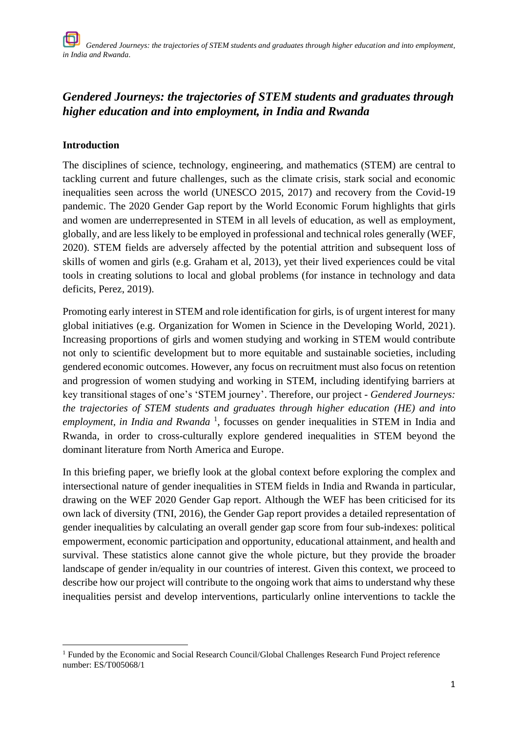# **Introduction**

The disciplines of science, technology, engineering, and mathematics (STEM) are central to tackling current and future challenges, such as the climate crisis, stark social and economic inequalities seen across the world (UNESCO 2015, 2017) and recovery from the Covid-19 pandemic. The 2020 Gender Gap report by the World Economic Forum highlights that girls and women are underrepresented in STEM in all levels of education, as well as employment, globally, and are less likely to be employed in professional and technical roles generally (WEF, 2020). STEM fields are adversely affected by the potential attrition and subsequent loss of skills of women and girls (e.g. Graham et al, 2013), yet their lived experiences could be vital tools in creating solutions to local and global problems (for instance in technology and data deficits, Perez, 2019).

Promoting early interest in STEM and role identification for girls, is of urgent interest for many global initiatives (e.g. Organization for Women in Science in the Developing World, 2021). Increasing proportions of girls and women studying and working in STEM would contribute not only to scientific development but to more equitable and sustainable societies, including gendered economic outcomes. However, any focus on recruitment must also focus on retention and progression of women studying and working in STEM, including identifying barriers at key transitional stages of one's 'STEM journey'. Therefore, our project - *Gendered Journeys: the trajectories of STEM students and graduates through higher education (HE) and into*  employment, in India and Rwanda<sup>1</sup>, focusses on gender inequalities in STEM in India and Rwanda, in order to cross-culturally explore gendered inequalities in STEM beyond the dominant literature from North America and Europe.

In this briefing paper, we briefly look at the global context before exploring the complex and intersectional nature of gender inequalities in STEM fields in India and Rwanda in particular, drawing on the WEF 2020 Gender Gap report. Although the WEF has been criticised for its own lack of diversity (TNI, 2016), the Gender Gap report provides a detailed representation of gender inequalities by calculating an overall gender gap score from four sub-indexes: political empowerment, economic participation and opportunity, educational attainment, and health and survival. These statistics alone cannot give the whole picture, but they provide the broader landscape of gender in/equality in our countries of interest. Given this context, we proceed to describe how our project will contribute to the ongoing work that aims to understand why these inequalities persist and develop interventions, particularly online interventions to tackle the

<sup>&</sup>lt;sup>1</sup> Funded by the Economic and Social Research Council/Global Challenges Research Fund Project reference number: ES/T005068/1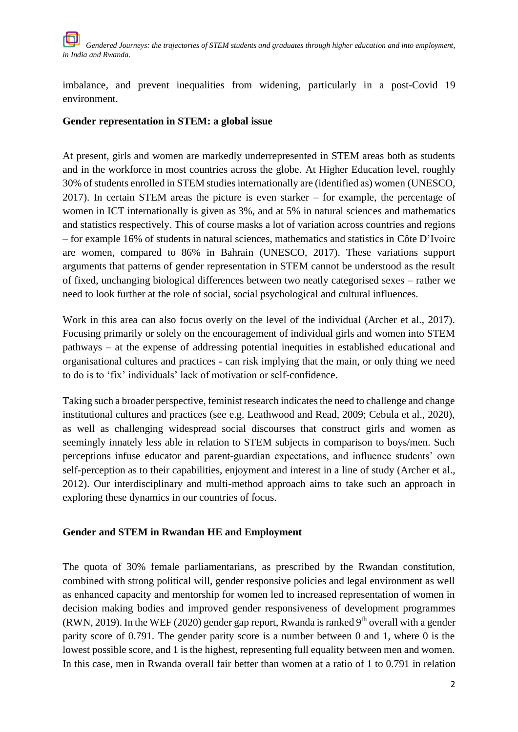imbalance, and prevent inequalities from widening, particularly in a post-Covid 19 environment.

# **Gender representation in STEM: a global issue**

At present, girls and women are markedly underrepresented in STEM areas both as students and in the workforce in most countries across the globe. At Higher Education level, roughly 30% of students enrolled in STEM studies internationally are (identified as) women (UNESCO, 2017). In certain STEM areas the picture is even starker – for example, the percentage of women in ICT internationally is given as 3%, and at 5% in natural sciences and mathematics and statistics respectively. This of course masks a lot of variation across countries and regions – for example 16% of students in natural sciences, mathematics and statistics in Côte D'Ivoire are women, compared to 86% in Bahrain (UNESCO, 2017). These variations support arguments that patterns of gender representation in STEM cannot be understood as the result of fixed, unchanging biological differences between two neatly categorised sexes – rather we need to look further at the role of social, social psychological and cultural influences.

Work in this area can also focus overly on the level of the individual (Archer et al., 2017). Focusing primarily or solely on the encouragement of individual girls and women into STEM pathways – at the expense of addressing potential inequities in established educational and organisational cultures and practices - can risk implying that the main, or only thing we need to do is to 'fix' individuals' lack of motivation or self-confidence.

Taking such a broader perspective, feminist research indicates the need to challenge and change institutional cultures and practices (see e.g. Leathwood and Read, 2009; Cebula et al., 2020), as well as challenging widespread social discourses that construct girls and women as seemingly innately less able in relation to STEM subjects in comparison to boys/men. Such perceptions infuse educator and parent-guardian expectations, and influence students' own self-perception as to their capabilities, enjoyment and interest in a line of study (Archer et al., 2012). Our interdisciplinary and multi-method approach aims to take such an approach in exploring these dynamics in our countries of focus.

# **Gender and STEM in Rwandan HE and Employment**

The quota of 30% female parliamentarians, as prescribed by the Rwandan constitution, combined with strong political will, gender responsive policies and legal environment as well as enhanced capacity and mentorship for women led to increased representation of women in decision making bodies and improved gender responsiveness of development programmes (RWN, 2019). In the WEF (2020) gender gap report, Rwanda is ranked  $9<sup>th</sup>$  overall with a gender parity score of 0.791. The gender parity score is a number between 0 and 1, where 0 is the lowest possible score, and 1 is the highest, representing full equality between men and women. In this case, men in Rwanda overall fair better than women at a ratio of 1 to 0.791 in relation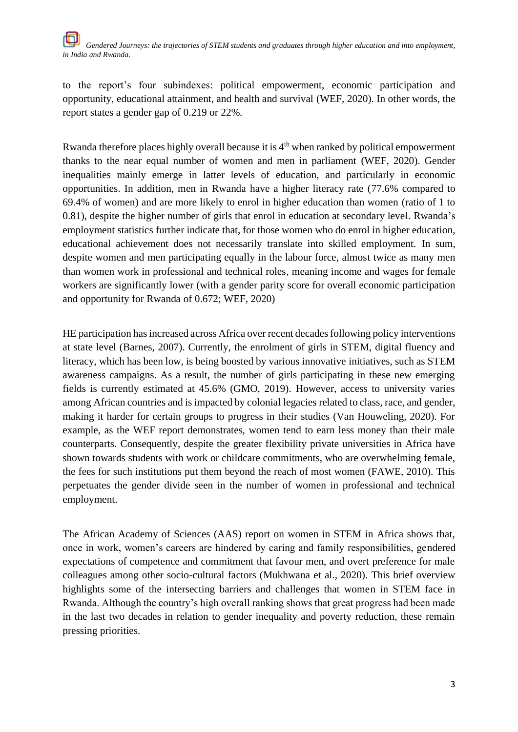to the report's four subindexes: political empowerment, economic participation and opportunity, educational attainment, and health and survival (WEF, 2020). In other words, the report states a gender gap of 0.219 or 22%.

Rwanda therefore places highly overall because it is  $4<sup>th</sup>$  when ranked by political empowerment thanks to the near equal number of women and men in parliament (WEF, 2020). Gender inequalities mainly emerge in latter levels of education, and particularly in economic opportunities. In addition, men in Rwanda have a higher literacy rate (77.6% compared to 69.4% of women) and are more likely to enrol in higher education than women (ratio of 1 to 0.81), despite the higher number of girls that enrol in education at secondary level. Rwanda's employment statistics further indicate that, for those women who do enrol in higher education, educational achievement does not necessarily translate into skilled employment. In sum, despite women and men participating equally in the labour force, almost twice as many men than women work in professional and technical roles, meaning income and wages for female workers are significantly lower (with a gender parity score for overall economic participation and opportunity for Rwanda of 0.672; WEF, 2020)

HE participation has increased across Africa over recent decades following policy interventions at state level (Barnes, 2007). Currently, the enrolment of girls in STEM, digital fluency and literacy, which has been low, is being boosted by various innovative initiatives, such as STEM awareness campaigns. As a result, the number of girls participating in these new emerging fields is currently estimated at 45.6% (GMO, 2019). However, access to university varies among African countries and is impacted by colonial legacies related to class, race, and gender, making it harder for certain groups to progress in their studies (Van Houweling, 2020). For example, as the WEF report demonstrates, women tend to earn less money than their male counterparts. Consequently, despite the greater flexibility private universities in Africa have shown towards students with work or childcare commitments, who are overwhelming female, the fees for such institutions put them beyond the reach of most women (FAWE, 2010). This perpetuates the gender divide seen in the number of women in professional and technical employment.

The African Academy of Sciences (AAS) report on women in STEM in Africa shows that, once in work, women's careers are hindered by caring and family responsibilities, gendered expectations of competence and commitment that favour men, and overt preference for male colleagues among other socio-cultural factors (Mukhwana et al., 2020). This brief overview highlights some of the intersecting barriers and challenges that women in STEM face in Rwanda. Although the country's high overall ranking shows that great progress had been made in the last two decades in relation to gender inequality and poverty reduction, these remain pressing priorities.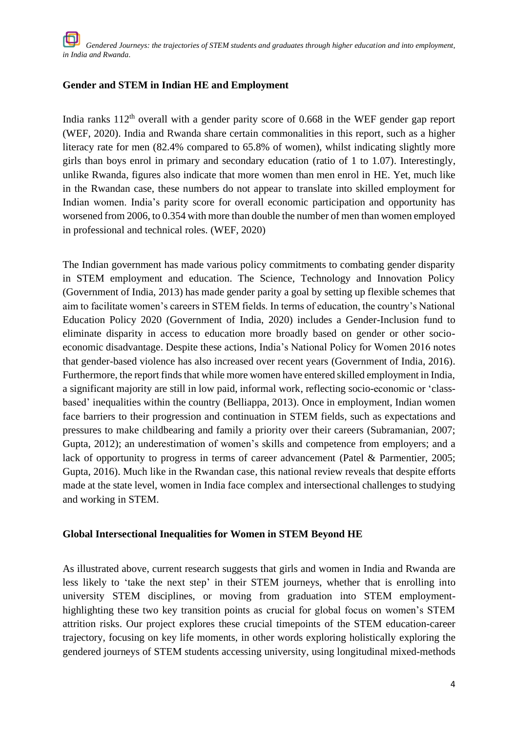## **Gender and STEM in Indian HE and Employment**

India ranks  $112<sup>th</sup>$  overall with a gender parity score of 0.668 in the WEF gender gap report (WEF, 2020). India and Rwanda share certain commonalities in this report, such as a higher literacy rate for men (82.4% compared to 65.8% of women), whilst indicating slightly more girls than boys enrol in primary and secondary education (ratio of 1 to 1.07). Interestingly, unlike Rwanda, figures also indicate that more women than men enrol in HE. Yet, much like in the Rwandan case, these numbers do not appear to translate into skilled employment for Indian women. India's parity score for overall economic participation and opportunity has worsened from 2006, to 0.354 with more than double the number of men than women employed in professional and technical roles. (WEF, 2020)

The Indian government has made various policy commitments to combating gender disparity in STEM employment and education. The Science, Technology and Innovation Policy (Government of India, 2013) has made gender parity a goal by setting up flexible schemes that aim to facilitate women's careers in STEM fields. In terms of education, the country's National Education Policy 2020 (Government of India, 2020) includes a Gender-Inclusion fund to eliminate disparity in access to education more broadly based on gender or other socioeconomic disadvantage. Despite these actions, India's National Policy for Women 2016 notes that gender-based violence has also increased over recent years (Government of India, 2016). Furthermore, the report finds that while more women have entered skilled employment in India, a significant majority are still in low paid, informal work, reflecting socio-economic or 'classbased' inequalities within the country (Belliappa, 2013). Once in employment, Indian women face barriers to their progression and continuation in STEM fields, such as expectations and pressures to make childbearing and family a priority over their careers (Subramanian, 2007; Gupta, 2012); an underestimation of women's skills and competence from employers; and a lack of opportunity to progress in terms of career advancement (Patel & Parmentier, 2005; Gupta, 2016). Much like in the Rwandan case, this national review reveals that despite efforts made at the state level, women in India face complex and intersectional challenges to studying and working in STEM.

### **Global Intersectional Inequalities for Women in STEM Beyond HE**

As illustrated above, current research suggests that girls and women in India and Rwanda are less likely to 'take the next step' in their STEM journeys, whether that is enrolling into university STEM disciplines, or moving from graduation into STEM employmenthighlighting these two key transition points as crucial for global focus on women's STEM attrition risks. Our project explores these crucial timepoints of the STEM education-career trajectory, focusing on key life moments, in other words exploring holistically exploring the gendered journeys of STEM students accessing university, using longitudinal mixed-methods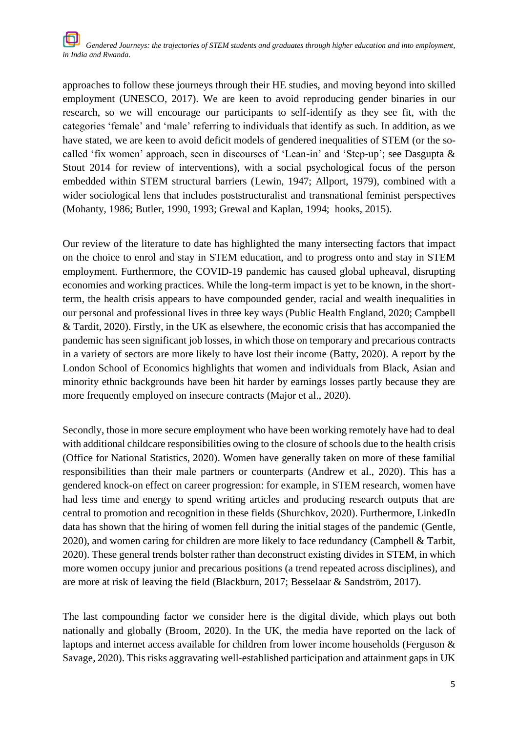approaches to follow these journeys through their HE studies, and moving beyond into skilled employment (UNESCO, 2017). We are keen to avoid reproducing gender binaries in our research, so we will encourage our participants to self-identify as they see fit, with the categories 'female' and 'male' referring to individuals that identify as such. In addition, as we have stated, we are keen to avoid deficit models of gendered inequalities of STEM (or the socalled 'fix women' approach, seen in discourses of 'Lean-in' and 'Step-up'; see Dasgupta & Stout 2014 for review of interventions), with a social psychological focus of the person embedded within STEM structural barriers (Lewin, 1947; Allport, 1979), combined with a wider sociological lens that includes poststructuralist and transnational feminist perspectives (Mohanty, 1986; Butler, 1990, 1993; Grewal and Kaplan, 1994; hooks, 2015).

Our review of the literature to date has highlighted the many intersecting factors that impact on the choice to enrol and stay in STEM education, and to progress onto and stay in STEM employment. Furthermore, the COVID-19 pandemic has caused global upheaval, disrupting economies and working practices. While the long-term impact is yet to be known, in the shortterm, the health crisis appears to have compounded gender, racial and wealth inequalities in our personal and professional lives in three key ways (Public Health England, 2020; Campbell & Tardit, 2020). Firstly, in the UK as elsewhere, the economic crisis that has accompanied the pandemic has seen significant job losses, in which those on temporary and precarious contracts in a variety of sectors are more likely to have lost their income (Batty, 2020). A report by the London School of Economics highlights that women and individuals from Black, Asian and minority ethnic backgrounds have been hit harder by earnings losses partly because they are more frequently employed on insecure contracts (Major et al., 2020).

Secondly, those in more secure employment who have been working remotely have had to deal with additional childcare responsibilities owing to the closure of schools due to the health crisis (Office for National Statistics, 2020). Women have generally taken on more of these familial responsibilities than their male partners or counterparts (Andrew et al., 2020). This has a gendered knock-on effect on career progression: for example, in STEM research, women have had less time and energy to spend writing articles and producing research outputs that are central to promotion and recognition in these fields (Shurchkov, 2020). Furthermore, LinkedIn data has shown that the hiring of women fell during the initial stages of the pandemic (Gentle, 2020), and women caring for children are more likely to face redundancy (Campbell & Tarbit, 2020). These general trends bolster rather than deconstruct existing divides in STEM, in which more women occupy junior and precarious positions (a trend repeated across disciplines), and are more at risk of leaving the field (Blackburn, 2017; Besselaar & Sandström, 2017).

The last compounding factor we consider here is the digital divide, which plays out both nationally and globally (Broom, 2020). In the UK, the media have reported on the lack of laptops and internet access available for children from lower income households (Ferguson & Savage, 2020). This risks aggravating well-established participation and attainment gaps in UK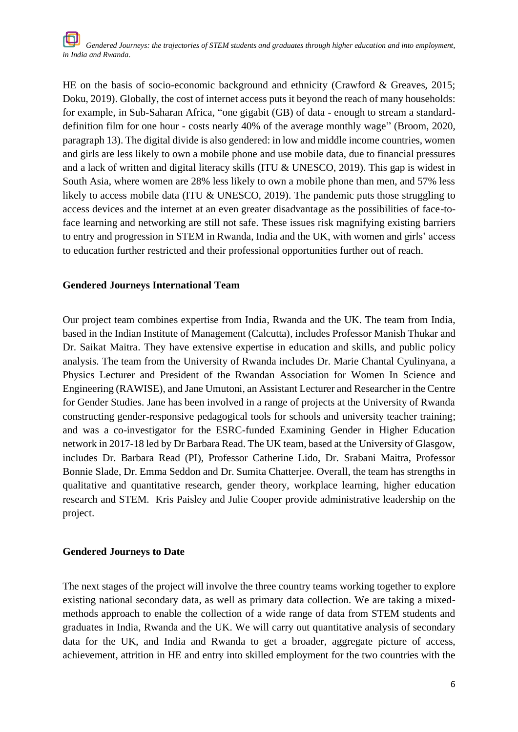HE on the basis of socio-economic background and ethnicity (Crawford & Greaves, 2015; Doku, 2019). Globally, the cost of internet access puts it beyond the reach of many households: for example, in Sub-Saharan Africa, "one gigabit (GB) of data - enough to stream a standarddefinition film for one hour - costs nearly 40% of the average monthly wage" (Broom, 2020, paragraph 13). The digital divide is also gendered: in low and middle income countries, women and girls are less likely to own a mobile phone and use mobile data, due to financial pressures and a lack of written and digital literacy skills (ITU & UNESCO, 2019). This gap is widest in South Asia, where women are 28% less likely to own a mobile phone than men, and 57% less likely to access mobile data (ITU & UNESCO, 2019). The pandemic puts those struggling to access devices and the internet at an even greater disadvantage as the possibilities of face-toface learning and networking are still not safe. These issues risk magnifying existing barriers to entry and progression in STEM in Rwanda, India and the UK, with women and girls' access to education further restricted and their professional opportunities further out of reach.

### **Gendered Journeys International Team**

Our project team combines expertise from India, Rwanda and the UK. The team from India, based in the Indian Institute of Management (Calcutta), includes Professor Manish Thukar and Dr. Saikat Maitra. They have extensive expertise in education and skills, and public policy analysis. The team from the University of Rwanda includes Dr. Marie Chantal Cyulinyana, a Physics Lecturer and President of the Rwandan Association for Women In Science and Engineering (RAWISE), and Jane Umutoni, an Assistant Lecturer and Researcher in the Centre for Gender Studies. Jane has been involved in a range of projects at the University of Rwanda constructing gender-responsive pedagogical tools for schools and university teacher training; and was a co-investigator for the ESRC-funded Examining Gender in Higher Education network in 2017-18 led by Dr Barbara Read. The UK team, based at the University of Glasgow, includes Dr. Barbara Read (PI), Professor Catherine Lido, Dr. Srabani Maitra, Professor Bonnie Slade, Dr. Emma Seddon and Dr. Sumita Chatterjee. Overall, the team has strengths in qualitative and quantitative research, gender theory, workplace learning, higher education research and STEM. Kris Paisley and Julie Cooper provide administrative leadership on the project.

#### **Gendered Journeys to Date**

The next stages of the project will involve the three country teams working together to explore existing national secondary data, as well as primary data collection. We are taking a mixedmethods approach to enable the collection of a wide range of data from STEM students and graduates in India, Rwanda and the UK. We will carry out quantitative analysis of secondary data for the UK, and India and Rwanda to get a broader, aggregate picture of access, achievement, attrition in HE and entry into skilled employment for the two countries with the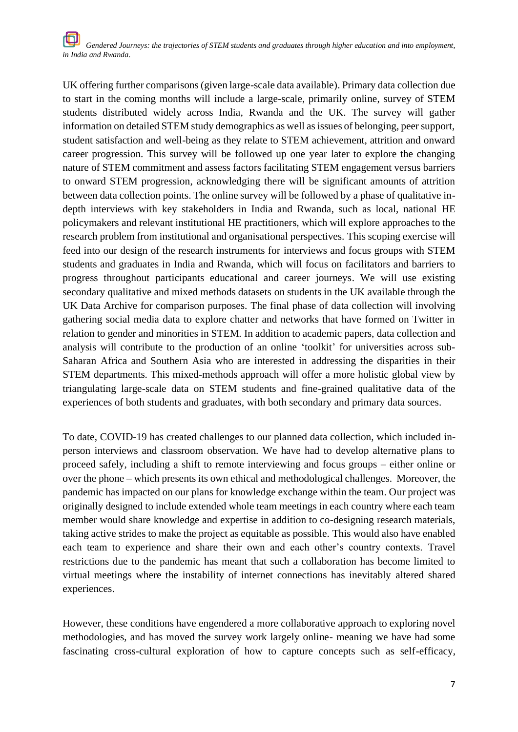UK offering further comparisons (given large-scale data available). Primary data collection due to start in the coming months will include a large-scale, primarily online, survey of STEM students distributed widely across India, Rwanda and the UK. The survey will gather information on detailed STEM study demographics as well as issues of belonging, peer support, student satisfaction and well-being as they relate to STEM achievement, attrition and onward career progression. This survey will be followed up one year later to explore the changing nature of STEM commitment and assess factors facilitating STEM engagement versus barriers to onward STEM progression, acknowledging there will be significant amounts of attrition between data collection points. The online survey will be followed by a phase of qualitative indepth interviews with key stakeholders in India and Rwanda, such as local, national HE policymakers and relevant institutional HE practitioners, which will explore approaches to the research problem from institutional and organisational perspectives. This scoping exercise will feed into our design of the research instruments for interviews and focus groups with STEM students and graduates in India and Rwanda, which will focus on facilitators and barriers to progress throughout participants educational and career journeys. We will use existing secondary qualitative and mixed methods datasets on students in the UK available through the UK Data Archive for comparison purposes. The final phase of data collection will involving gathering social media data to explore chatter and networks that have formed on Twitter in relation to gender and minorities in STEM. In addition to academic papers, data collection and analysis will contribute to the production of an online 'toolkit' for universities across sub-Saharan Africa and Southern Asia who are interested in addressing the disparities in their STEM departments. This mixed-methods approach will offer a more holistic global view by triangulating large-scale data on STEM students and fine-grained qualitative data of the experiences of both students and graduates, with both secondary and primary data sources.

To date, COVID-19 has created challenges to our planned data collection, which included inperson interviews and classroom observation. We have had to develop alternative plans to proceed safely, including a shift to remote interviewing and focus groups – either online or over the phone – which presents its own ethical and methodological challenges. Moreover, the pandemic has impacted on our plans for knowledge exchange within the team. Our project was originally designed to include extended whole team meetings in each country where each team member would share knowledge and expertise in addition to co-designing research materials, taking active strides to make the project as equitable as possible. This would also have enabled each team to experience and share their own and each other's country contexts. Travel restrictions due to the pandemic has meant that such a collaboration has become limited to virtual meetings where the instability of internet connections has inevitably altered shared experiences.

However, these conditions have engendered a more collaborative approach to exploring novel methodologies, and has moved the survey work largely online- meaning we have had some fascinating cross-cultural exploration of how to capture concepts such as self-efficacy,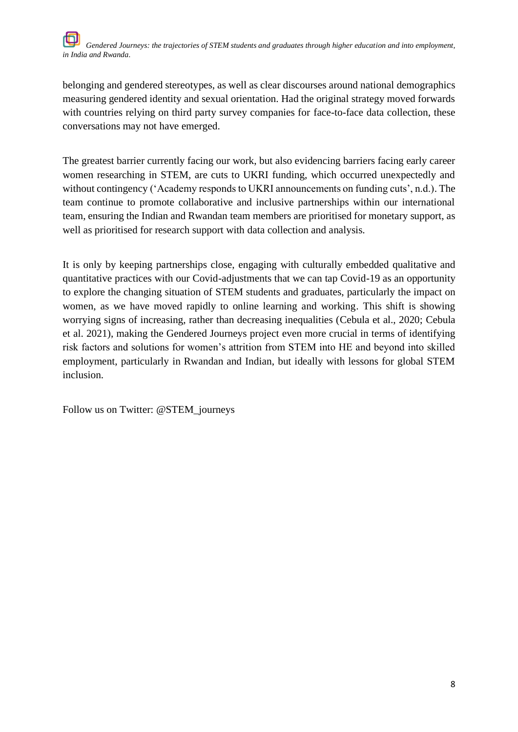belonging and gendered stereotypes, as well as clear discourses around national demographics measuring gendered identity and sexual orientation. Had the original strategy moved forwards with countries relying on third party survey companies for face-to-face data collection, these conversations may not have emerged.

The greatest barrier currently facing our work, but also evidencing barriers facing early career women researching in STEM, are cuts to UKRI funding, which occurred unexpectedly and without contingency ('Academy responds to UKRI announcements on funding cuts', n.d.). The team continue to promote collaborative and inclusive partnerships within our international team, ensuring the Indian and Rwandan team members are prioritised for monetary support, as well as prioritised for research support with data collection and analysis.

It is only by keeping partnerships close, engaging with culturally embedded qualitative and quantitative practices with our Covid-adjustments that we can tap Covid-19 as an opportunity to explore the changing situation of STEM students and graduates, particularly the impact on women, as we have moved rapidly to online learning and working. This shift is showing worrying signs of increasing, rather than decreasing inequalities (Cebula et al., 2020; Cebula et al. 2021), making the Gendered Journeys project even more crucial in terms of identifying risk factors and solutions for women's attrition from STEM into HE and beyond into skilled employment, particularly in Rwandan and Indian, but ideally with lessons for global STEM inclusion.

Follow us on Twitter: @STEM\_journeys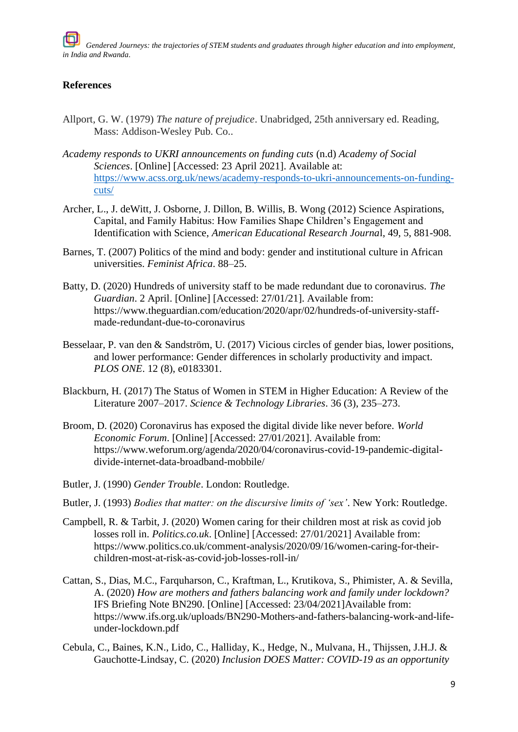## **References**

- Allport, G. W. (1979) *The nature of prejudice*. Unabridged, 25th anniversary ed. Reading, Mass: Addison-Wesley Pub. Co..
- *Academy responds to UKRI announcements on funding cuts* (n.d) *Academy of Social Sciences*. [Online] [Accessed: 23 April 2021]. Available at: [https://www.acss.org.uk/news/academy-responds-to-ukri-announcements-on-funding](https://www.acss.org.uk/news/academy-responds-to-ukri-announcements-on-funding-cuts/)[cuts/](https://www.acss.org.uk/news/academy-responds-to-ukri-announcements-on-funding-cuts/)
- Archer, L., J. deWitt, J. Osborne, J. Dillon, B. Willis, B. Wong (2012) Science Aspirations, Capital, and Family Habitus: How Families Shape Children's Engagement and Identification with Science, *American Educational Research Journa*l, 49, 5, 881-908.
- Barnes, T. (2007) Politics of the mind and body: gender and institutional culture in African universities. *Feminist Africa*. 88–25.
- Batty, D. (2020) Hundreds of university staff to be made redundant due to coronavirus. *The Guardian*. 2 April. [Online] [Accessed: 27/01/21]. Available from: https://www.theguardian.com/education/2020/apr/02/hundreds-of-university-staffmade-redundant-due-to-coronavirus
- Besselaar, P. van den & Sandström, U. (2017) Vicious circles of gender bias, lower positions, and lower performance: Gender differences in scholarly productivity and impact. *PLOS ONE*. 12 (8), e0183301.
- Blackburn, H. (2017) The Status of Women in STEM in Higher Education: A Review of the Literature 2007–2017. *Science & Technology Libraries*. 36 (3), 235–273.
- Broom, D. (2020) Coronavirus has exposed the digital divide like never before. *World Economic Forum*. [Online] [Accessed: 27/01/2021]. Available from: https://www.weforum.org/agenda/2020/04/coronavirus-covid-19-pandemic-digitaldivide-internet-data-broadband-mobbile/
- Butler, J. (1990) *Gender Trouble*. London: Routledge.
- Butler, J. (1993) *Bodies that matter: on the discursive limits of 'sex'*. New York: Routledge.
- Campbell, R. & Tarbit, J. (2020) Women caring for their children most at risk as covid job losses roll in. *Politics.co.uk*. [Online] [Accessed: 27/01/2021] Available from: https://www.politics.co.uk/comment-analysis/2020/09/16/women-caring-for-theirchildren-most-at-risk-as-covid-job-losses-roll-in/
- Cattan, S., Dias, M.C., Farquharson, C., Kraftman, L., Krutikova, S., Phimister, A. & Sevilla, A. (2020) *How are mothers and fathers balancing work and family under lockdown?* IFS Briefing Note BN290. [Online] [Accessed: 23/04/2021]Available from: https://www.ifs.org.uk/uploads/BN290-Mothers-and-fathers-balancing-work-and-lifeunder-lockdown.pdf
- Cebula, C., Baines, K.N., Lido, C., Halliday, K., Hedge, N., Mulvana, H., Thijssen, J.H.J. & Gauchotte-Lindsay, C. (2020) *Inclusion DOES Matter: COVID-19 as an opportunity*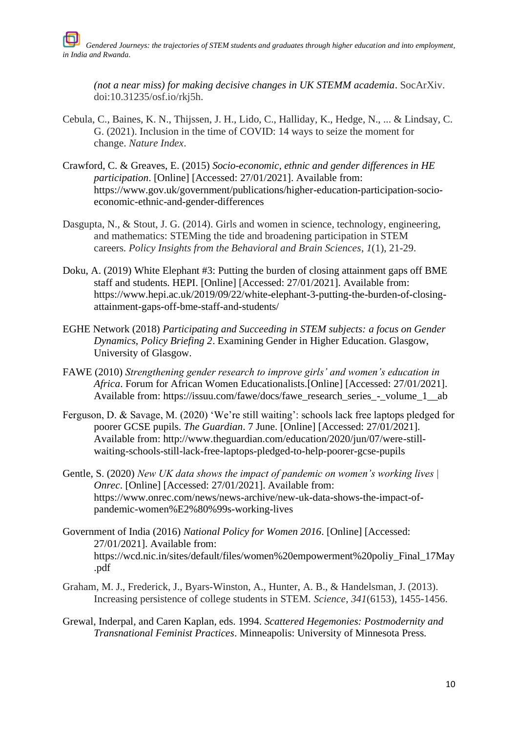*(not a near miss) for making decisive changes in UK STEMM academia*. SocArXiv. doi:10.31235/osf.io/rkj5h.

- Cebula, C., Baines, K. N., Thijssen, J. H., Lido, C., Halliday, K., Hedge, N., ... & Lindsay, C. G. (2021). Inclusion in the time of COVID: 14 ways to seize the moment for change. *Nature Index*.
- Crawford, C. & Greaves, E. (2015) *Socio-economic, ethnic and gender differences in HE participation*. [Online] [Accessed: 27/01/2021]. Available from: https://www.gov.uk/government/publications/higher-education-participation-socioeconomic-ethnic-and-gender-differences
- Dasgupta, N., & Stout, J. G. (2014). Girls and women in science, technology, engineering, and mathematics: STEMing the tide and broadening participation in STEM careers. *Policy Insights from the Behavioral and Brain Sciences*, *1*(1), 21-29.
- Doku, A. (2019) White Elephant #3: Putting the burden of closing attainment gaps off BME staff and students. HEPI. [Online] [Accessed: 27/01/2021]. Available from: https://www.hepi.ac.uk/2019/09/22/white-elephant-3-putting-the-burden-of-closingattainment-gaps-off-bme-staff-and-students/
- EGHE Network (2018) *Participating and Succeeding in STEM subjects: a focus on Gender Dynamics, Policy Briefing 2*. Examining Gender in Higher Education. Glasgow, University of Glasgow.
- FAWE (2010) *Strengthening gender research to improve girls' and women's education in Africa*. Forum for African Women Educationalists.[Online] [Accessed: 27/01/2021]. Available from: https://issuu.com/fawe/docs/fawe\_research\_series\_-\_volume\_1\_\_ab
- Ferguson, D. & Savage, M. (2020) 'We're still waiting': schools lack free laptops pledged for poorer GCSE pupils. *The Guardian*. 7 June. [Online] [Accessed: 27/01/2021]. Available from: http://www.theguardian.com/education/2020/jun/07/were-stillwaiting-schools-still-lack-free-laptops-pledged-to-help-poorer-gcse-pupils
- Gentle, S. (2020) *New UK data shows the impact of pandemic on women's working lives | Onrec*. [Online] [Accessed: 27/01/2021]. Available from: https://www.onrec.com/news/news-archive/new-uk-data-shows-the-impact-ofpandemic-women%E2%80%99s-working-lives
- Government of India (2016) *National Policy for Women 2016*. [Online] [Accessed: 27/01/2021]. Available from: https://wcd.nic.in/sites/default/files/women%20empowerment%20poliy\_Final\_17May .pdf
- Graham, M. J., Frederick, J., Byars-Winston, A., Hunter, A. B., & Handelsman, J. (2013). Increasing persistence of college students in STEM. *Science*, *341*(6153), 1455-1456.
- Grewal, Inderpal, and Caren Kaplan, eds. 1994. *Scattered Hegemonies: Postmodernity and Transnational Feminist Practices*. Minneapolis: University of Minnesota Press.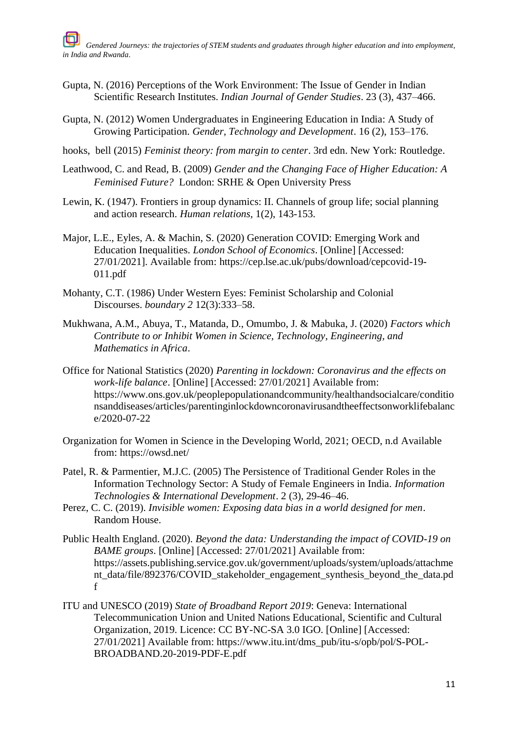- Gupta, N. (2016) Perceptions of the Work Environment: The Issue of Gender in Indian Scientific Research Institutes. *Indian Journal of Gender Studies*. 23 (3), 437–466.
- Gupta, N. (2012) Women Undergraduates in Engineering Education in India: A Study of Growing Participation. *Gender, Technology and Development*. 16 (2), 153–176.
- hooks, bell (2015) *Feminist theory: from margin to center*. 3rd edn. New York: Routledge.
- Leathwood, C. and Read, B. (2009) *Gender and the Changing Face of Higher Education: A Feminised Future?* London: SRHE & Open University Press
- Lewin, K. (1947). Frontiers in group dynamics: II. Channels of group life; social planning and action research. *Human relations,* 1(2), 143-153.
- Major, L.E., Eyles, A. & Machin, S. (2020) Generation COVID: Emerging Work and Education Inequalities. *London School of Economics*. [Online] [Accessed: 27/01/2021]. Available from: https://cep.lse.ac.uk/pubs/download/cepcovid-19- 011.pdf
- Mohanty, C.T. (1986) Under Western Eyes: Feminist Scholarship and Colonial Discourses. *boundary 2* 12(3):333–58.
- Mukhwana, A.M., Abuya, T., Matanda, D., Omumbo, J. & Mabuka, J. (2020) *Factors which Contribute to or Inhibit Women in Science, Technology, Engineering, and Mathematics in Africa*.
- Office for National Statistics (2020) *Parenting in lockdown: Coronavirus and the effects on work-life balance*. [Online] [Accessed: 27/01/2021] Available from: https://www.ons.gov.uk/peoplepopulationandcommunity/healthandsocialcare/conditio nsanddiseases/articles/parentinginlockdowncoronavirusandtheeffectsonworklifebalanc e/2020-07-22
- Organization for Women in Science in the Developing World, 2021; OECD, n.d Available from: https://owsd.net/
- Patel, R. & Parmentier, M.J.C. (2005) The Persistence of Traditional Gender Roles in the Information Technology Sector: A Study of Female Engineers in India. *Information Technologies & International Development*. 2 (3), 29-46–46.
- Perez, C. C. (2019). *Invisible women: Exposing data bias in a world designed for men*. Random House.
- Public Health England. (2020). *Beyond the data: Understanding the impact of COVID-19 on BAME groups*. [Online] [Accessed: 27/01/2021] Available from: https://assets.publishing.service.gov.uk/government/uploads/system/uploads/attachme nt\_data/file/892376/COVID\_stakeholder\_engagement\_synthesis\_beyond\_the\_data.pd f
- ITU and UNESCO (2019) *State of Broadband Report 2019*: Geneva: International Telecommunication Union and United Nations Educational, Scientific and Cultural Organization, 2019. Licence: CC BY-NC-SA 3.0 IGO. [Online] [Accessed: 27/01/2021] Available from: https://www.itu.int/dms\_pub/itu-s/opb/pol/S-POL-BROADBAND.20-2019-PDF-E.pdf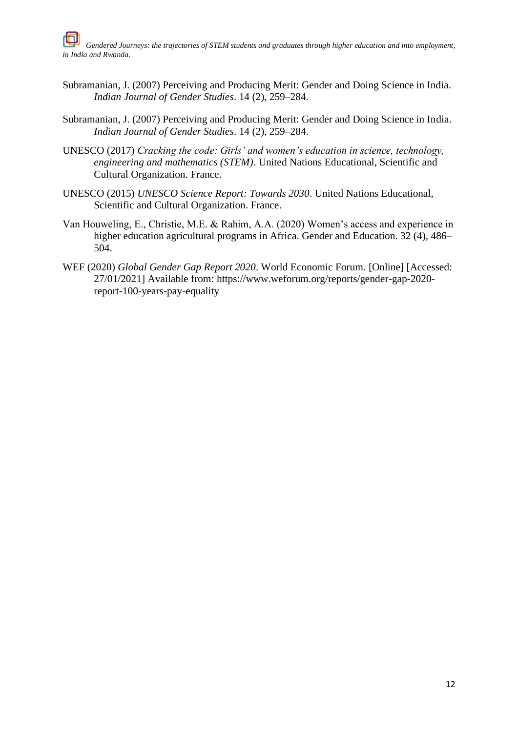- Subramanian, J. (2007) Perceiving and Producing Merit: Gender and Doing Science in India. *Indian Journal of Gender Studies*. 14 (2), 259–284.
- Subramanian, J. (2007) Perceiving and Producing Merit: Gender and Doing Science in India. *Indian Journal of Gender Studies*. 14 (2), 259–284.
- UNESCO (2017) *Cracking the code: Girls' and women's education in science, technology, engineering and mathematics (STEM)*. United Nations Educational, Scientific and Cultural Organization. France.
- UNESCO (2015) *UNESCO Science Report: Towards 2030*. United Nations Educational, Scientific and Cultural Organization. France.
- Van Houweling, E., Christie, M.E. & Rahim, A.A. (2020) Women's access and experience in higher education agricultural programs in Africa. Gender and Education. 32 (4), 486– 504.
- WEF (2020) *Global Gender Gap Report 2020*. World Economic Forum. [Online] [Accessed: 27/01/2021] Available from: https://www.weforum.org/reports/gender-gap-2020 report-100-years-pay-equality